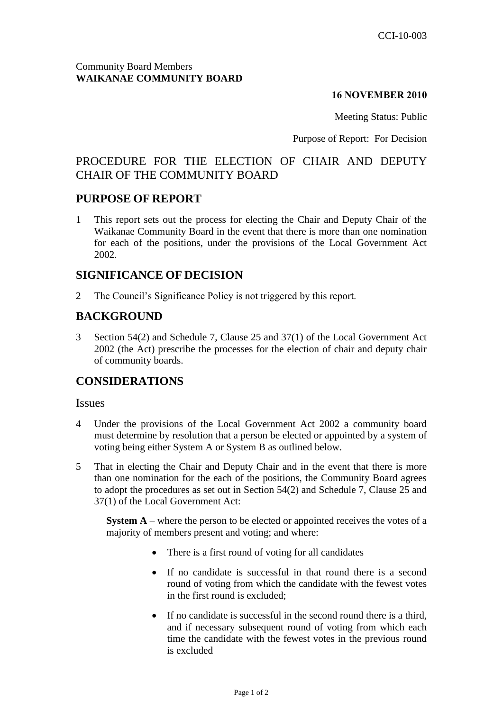### Community Board Members **WAIKANAE COMMUNITY BOARD**

### **16 NOVEMBER 2010**

Meeting Status: Public

Purpose of Report: For Decision

# PROCEDURE FOR THE ELECTION OF CHAIR AND DEPUTY CHAIR OF THE COMMUNITY BOARD

## **PURPOSE OF REPORT**

1 This report sets out the process for electing the Chair and Deputy Chair of the Waikanae Community Board in the event that there is more than one nomination for each of the positions, under the provisions of the Local Government Act 2002.

## **SIGNIFICANCE OF DECISION**

2 The Council's Significance Policy is not triggered by this report.

# **BACKGROUND**

3 Section 54(2) and Schedule 7, Clause 25 and 37(1) of the Local Government Act 2002 (the Act) prescribe the processes for the election of chair and deputy chair of community boards.

## **CONSIDERATIONS**

#### **Issues**

- 4 Under the provisions of the Local Government Act 2002 a community board must determine by resolution that a person be elected or appointed by a system of voting being either System A or System B as outlined below.
- 5 That in electing the Chair and Deputy Chair and in the event that there is more than one nomination for the each of the positions, the Community Board agrees to adopt the procedures as set out in Section 54(2) and Schedule 7, Clause 25 and 37(1) of the Local Government Act:

**System A** – where the person to be elected or appointed receives the votes of a majority of members present and voting; and where:

- There is a first round of voting for all candidates
- If no candidate is successful in that round there is a second round of voting from which the candidate with the fewest votes in the first round is excluded;
- If no candidate is successful in the second round there is a third, and if necessary subsequent round of voting from which each time the candidate with the fewest votes in the previous round is excluded